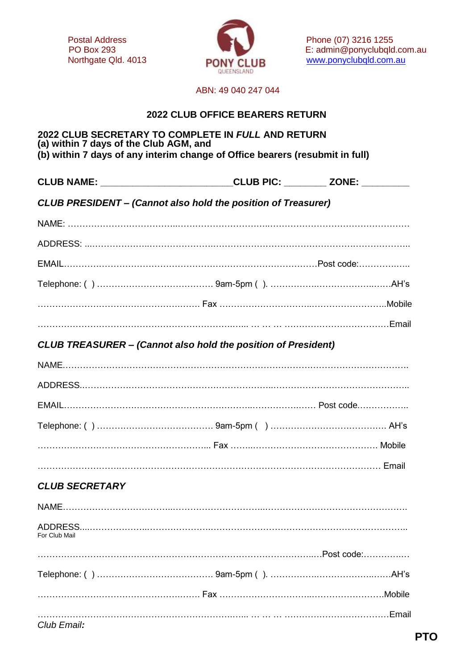

Postal Address Postal Address Phone (07) 3216 1255<br>PO Box 293 E: admin@ponyclubald PO Box 293 E: admin@ponyclubqld.com.au<br>
Northgate Qld. 4013 **PONY CLUB** WWW.ponyclubqld.com.au PONY CLUB [www.ponyclubqld.com.au](http://www.ponyclubqld.com.au/)

#### ABN: 49 040 247 044

### **2022 CLUB OFFICE BEARERS RETURN**

#### **2022 CLUB SECRETARY TO COMPLETE IN** *FULL* **AND RETURN (a) within 7 days of the Club AGM, and (b) within 7 days of any interim change of Office bearers (resubmit in full)**

|                       | CLUB NAME: __________________________CLUB PIC: ________ ZONE: _________ |  |
|-----------------------|-------------------------------------------------------------------------|--|
|                       | <b>CLUB PRESIDENT - (Cannot also hold the position of Treasurer)</b>    |  |
|                       |                                                                         |  |
|                       |                                                                         |  |
|                       |                                                                         |  |
|                       |                                                                         |  |
|                       |                                                                         |  |
|                       |                                                                         |  |
|                       | <b>CLUB TREASURER - (Cannot also hold the position of President)</b>    |  |
|                       |                                                                         |  |
|                       |                                                                         |  |
|                       |                                                                         |  |
|                       |                                                                         |  |
|                       |                                                                         |  |
|                       |                                                                         |  |
| <b>CLUB SECRETARY</b> |                                                                         |  |
|                       |                                                                         |  |
| For Club Mail         |                                                                         |  |
|                       |                                                                         |  |
|                       |                                                                         |  |
|                       |                                                                         |  |
|                       |                                                                         |  |
| Club Email:           |                                                                         |  |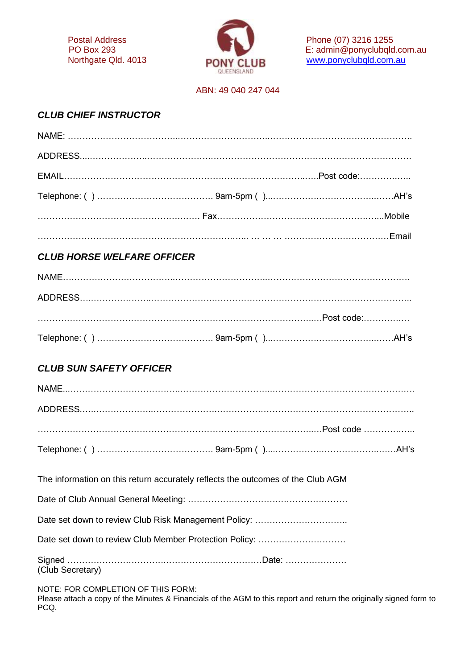

Postal Address **Postal Address** Phone (07) 3216 1255 PO Box 293 **E:** admin@ponyclubqld.com.au Northgate Qld. 4013 **PONY CLIR** WWW.ponyclubqld.com.au

### ABN: 49 040 247 044

## *CLUB CHIEF INSTRUCTOR*

## *CLUB HORSE WELFARE OFFICER*

## *CLUB SUN SAFETY OFFICER*

| The information on this return accurately reflects the outcomes of the Club AGM                                                                                   |  |
|-------------------------------------------------------------------------------------------------------------------------------------------------------------------|--|
|                                                                                                                                                                   |  |
|                                                                                                                                                                   |  |
|                                                                                                                                                                   |  |
| (Club Secretary)                                                                                                                                                  |  |
| NOTE: FOR COMPLETION OF THIS FORM:<br>Please attach a copy of the Minutes & Financials of the AGM to this report and return the originally signed form to<br>PCQ. |  |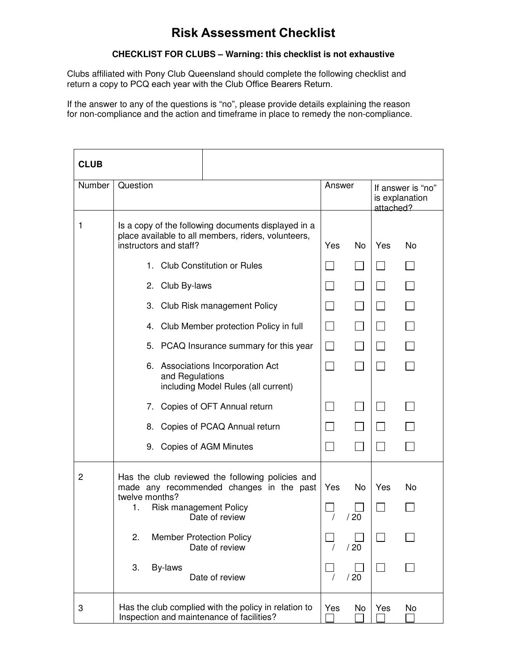# **Risk Assessment Checklist**

#### **CHECKLIST FOR CLUBS – Warning: this checklist is not exhaustive**

Clubs affiliated with Pony Club Queensland should complete the following checklist and return a copy to PCQ each year with the Club Office Bearers Return.

If the answer to any of the questions is "no", please provide details explaining the reason for non-compliance and the action and timeframe in place to remedy the non-compliance.

| <b>CLUB</b> |                                                                                                                                                       |                                                            |                  |
|-------------|-------------------------------------------------------------------------------------------------------------------------------------------------------|------------------------------------------------------------|------------------|
| Number      | Question                                                                                                                                              | Answer<br>If answer is "no"<br>is explanation<br>attached? |                  |
| 1           | Is a copy of the following documents displayed in a<br>place available to all members, riders, volunteers,<br>instructors and staff?                  | Yes<br><b>No</b>                                           | Yes<br><b>No</b> |
|             | 1. Club Constitution or Rules                                                                                                                         |                                                            |                  |
|             | 2. Club By-laws                                                                                                                                       | $\Box$<br>$\mathcal{L}_{\mathcal{A}}$                      |                  |
|             | 3. Club Risk management Policy                                                                                                                        | $\Box$<br>$\overline{\phantom{0}}$                         |                  |
|             | 4. Club Member protection Policy in full                                                                                                              | $\Box$<br>$\Box$                                           | $\Box$           |
|             | 5. PCAQ Insurance summary for this year                                                                                                               | $\Box$<br>$\Box$                                           |                  |
|             | 6. Associations Incorporation Act<br>and Regulations<br>including Model Rules (all current)                                                           | $\blacksquare$                                             |                  |
|             | Copies of OFT Annual return<br>7.                                                                                                                     | $\Box$<br>$\blacksquare$                                   | $\perp$          |
|             | Copies of PCAQ Annual return<br>8.                                                                                                                    | $\overline{\phantom{a}}$<br>$\Box$                         |                  |
|             | 9. Copies of AGM Minutes                                                                                                                              | $\sim$                                                     |                  |
| 2           | Has the club reviewed the following policies and<br>made any recommended changes in the past<br>twelve months?<br><b>Risk management Policy</b><br>1. | Yes<br>No.                                                 | Yes<br>No        |
|             | Date of review<br>2.<br><b>Member Protection Policy</b><br>Date of review                                                                             | /20<br>/20                                                 |                  |
|             | 3.<br>By-laws<br>Date of review                                                                                                                       | /20                                                        |                  |
| 3           | Has the club complied with the policy in relation to<br>Inspection and maintenance of facilities?                                                     | Yes<br>No                                                  | Yes<br>No        |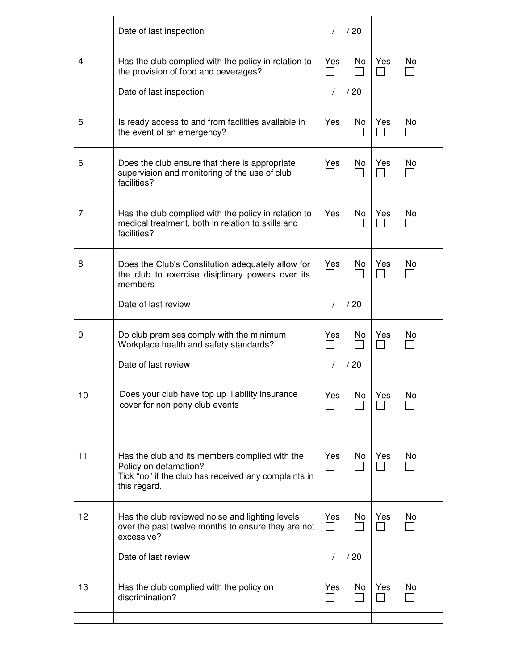|    | Date of last inspection                                                                                                                         | $\prime$              | /20             |                     |     |
|----|-------------------------------------------------------------------------------------------------------------------------------------------------|-----------------------|-----------------|---------------------|-----|
| 4  | Has the club complied with the policy in relation to<br>the provision of food and beverages?<br>Date of last inspection                         | Yes<br>$\prime$       | No.<br>/20      | Yes<br>×.           | No  |
| 5  | Is ready access to and from facilities available in<br>the event of an emergency?                                                               | Yes                   | No.             | Yes                 | No  |
| 6  | Does the club ensure that there is appropriate<br>supervision and monitoring of the use of club<br>facilities?                                  | Yes                   | No.             | Yes                 | No. |
| 7  | Has the club complied with the policy in relation to<br>medical treatment, both in relation to skills and<br>facilities?                        | Yes                   | No.             | Yes                 | No. |
| 8  | Does the Club's Constitution adequately allow for<br>the club to exercise disiplinary powers over its<br>members                                | Yes                   | No.             | Yes                 | No. |
|    | Date of last review                                                                                                                             | $\sqrt{2}$            | /20             |                     |     |
| 9  | Do club premises comply with the minimum<br>Workplace health and safety standards?<br>Date of last review                                       | Yes<br>$\sqrt{2}$     | No.<br>/20      | Yes<br>$\mathbf{I}$ | No. |
| 10 | Does your club have top up liability insurance<br>cover for non pony club events                                                                | Yes                   | No <sub>1</sub> | Yes                 | No  |
| 11 | Has the club and its members complied with the<br>Policy on defamation?<br>Tick "no" if the club has received any complaints in<br>this regard. | Yes<br>$\blacksquare$ | No.             | Yes                 | No. |
| 12 | Has the club reviewed noise and lighting levels<br>over the past twelve months to ensure they are not<br>excessive?                             | Yes<br>$\blacksquare$ | No              | Yes                 | No. |
|    | Date of last review                                                                                                                             | $\prime$              | /20             |                     |     |
| 13 | Has the club complied with the policy on<br>discrimination?                                                                                     | Yes                   | No.             | Yes                 | No. |
|    |                                                                                                                                                 |                       |                 |                     |     |